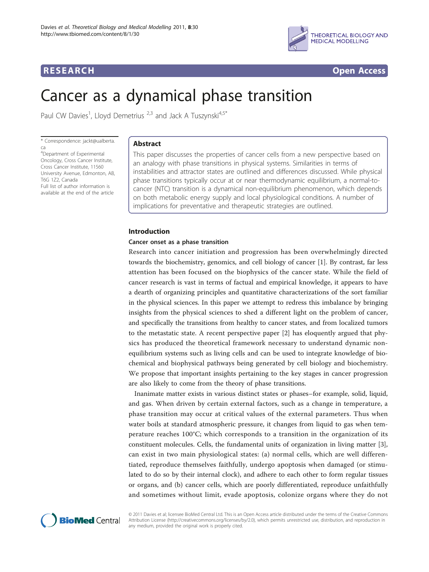



# Cancer as a dynamical phase transition

Paul CW Davies<sup>1</sup>, Lloyd Demetrius<sup>2,3</sup> and Jack A Tuszynski<sup>4,5\*</sup>

\* Correspondence: jackt@ualberta.

ca<br><sup>4</sup>Department of Experimental Oncology, Cross Cancer Institute, Cross Cancer Institute, 11560 University Avenue, Edmonton, AB, T6G 1Z2, Canada Full list of author information is available at the end of the article

# Abstract

This paper discusses the properties of cancer cells from a new perspective based on an analogy with phase transitions in physical systems. Similarities in terms of instabilities and attractor states are outlined and differences discussed. While physical phase transitions typically occur at or near thermodynamic equilibrium, a normal-tocancer (NTC) transition is a dynamical non-equilibrium phenomenon, which depends on both metabolic energy supply and local physiological conditions. A number of implications for preventative and therapeutic strategies are outlined.

## Introduction

## Cancer onset as a phase transition

Research into cancer initiation and progression has been overwhelmingly directed towards the biochemistry, genomics, and cell biology of cancer [1]. By contrast, far less attention has been focused on the biophysics of the cancer state. While the field of cancer research is vast in terms of factual and empirical knowledge, it appears to have a dearth of organizing principles and quantitative characterizations of the sort familiar in the physical sciences. In this paper we attempt to redress this imbalance by bringing insights from the physical sciences to shed a different light on the problem of cancer, and specifically the transitions from healthy to cancer states, and from localized tumors to the metastatic state. A recent perspective paper [2] has eloquently argued that physics has produced the theoretical framework necessary to understand dynamic nonequilibrium systems such as living cells and can be used to integrate knowledge of biochemical and biophysical pathways being generated by cell biology and biochemistry. We propose that important insights pertaining to the key stages in cancer progression are also likely to come from the theory of phase transitions.

Inanimate matter exists in various distinct states or phases–for example, solid, liquid, and gas. When driven by certain external factors, such as a change in temperature, a phase transition may occur at critical values of the external parameters. Thus when water boils at standard atmospheric pressure, it changes from liquid to gas when temperature reaches 100°C; which corresponds to a transition in the organization of its constituent molecules. Cells, the fundamental units of organization in living matter [3], can exist in two main physiological states: (a) normal cells, which are well differentiated, reproduce themselves faithfully, undergo apoptosis when damaged (or stimulated to do so by their internal clock), and adhere to each other to form regular tissues or organs, and (b) cancer cells, which are poorly differentiated, reproduce unfaithfully and sometimes without limit, evade apoptosis, colonize organs where they do not



© 2011 Davies et al; licensee BioMed Central Ltd. This is an Open Access article distributed under the terms of the Creative Commons Attribution License (http://creativecommons.org/licenses/by/2.0), which permits unrestricted use, distribution, and reproduction in any medium, provided the original work is properly cited.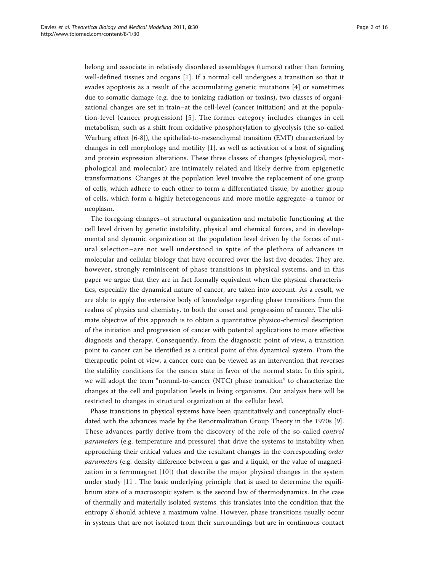belong and associate in relatively disordered assemblages (tumors) rather than forming well-defined tissues and organs [1]. If a normal cell undergoes a transition so that it evades apoptosis as a result of the accumulating genetic mutations [4] or sometimes due to somatic damage (e.g. due to ionizing radiation or toxins), two classes of organizational changes are set in train–at the cell-level (cancer initiation) and at the population-level (cancer progression) [5]. The former category includes changes in cell metabolism, such as a shift from oxidative phosphorylation to glycolysis (the so-called Warburg effect [6-8]), the epithelial-to-mesenchymal transition (EMT) characterized by changes in cell morphology and motility [1], as well as activation of a host of signaling and protein expression alterations. These three classes of changes (physiological, morphological and molecular) are intimately related and likely derive from epigenetic transformations. Changes at the population level involve the replacement of one group of cells, which adhere to each other to form a differentiated tissue, by another group of cells, which form a highly heterogeneous and more motile aggregate–a tumor or neoplasm.

The foregoing changes–of structural organization and metabolic functioning at the cell level driven by genetic instability, physical and chemical forces, and in developmental and dynamic organization at the population level driven by the forces of natural selection–are not well understood in spite of the plethora of advances in molecular and cellular biology that have occurred over the last five decades. They are, however, strongly reminiscent of phase transitions in physical systems, and in this paper we argue that they are in fact formally equivalent when the physical characteristics, especially the dynamical nature of cancer, are taken into account. As a result, we are able to apply the extensive body of knowledge regarding phase transitions from the realms of physics and chemistry, to both the onset and progression of cancer. The ultimate objective of this approach is to obtain a quantitative physico-chemical description of the initiation and progression of cancer with potential applications to more effective diagnosis and therapy. Consequently, from the diagnostic point of view, a transition point to cancer can be identified as a critical point of this dynamical system. From the therapeutic point of view, a cancer cure can be viewed as an intervention that reverses the stability conditions for the cancer state in favor of the normal state. In this spirit, we will adopt the term "normal-to-cancer (NTC) phase transition" to characterize the changes at the cell and population levels in living organisms. Our analysis here will be restricted to changes in structural organization at the cellular level.

Phase transitions in physical systems have been quantitatively and conceptually elucidated with the advances made by the Renormalization Group Theory in the 1970s [9]. These advances partly derive from the discovery of the role of the so-called control parameters (e.g. temperature and pressure) that drive the systems to instability when approaching their critical values and the resultant changes in the corresponding order parameters (e.g. density difference between a gas and a liquid, or the value of magnetization in a ferromagnet [10]) that describe the major physical changes in the system under study [11]. The basic underlying principle that is used to determine the equilibrium state of a macroscopic system is the second law of thermodynamics. In the case of thermally and materially isolated systems, this translates into the condition that the entropy S should achieve a maximum value. However, phase transitions usually occur in systems that are not isolated from their surroundings but are in continuous contact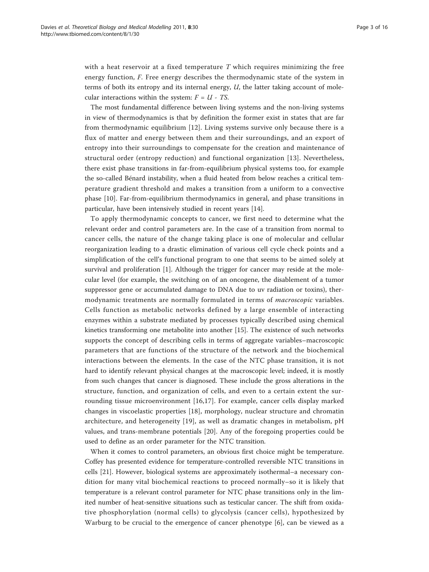with a heat reservoir at a fixed temperature  $T$  which requires minimizing the free energy function, F. Free energy describes the thermodynamic state of the system in terms of both its entropy and its internal energy,  $U$ , the latter taking account of molecular interactions within the system:  $F = U - TS$ .

The most fundamental difference between living systems and the non-living systems in view of thermodynamics is that by definition the former exist in states that are far from thermodynamic equilibrium [12]. Living systems survive only because there is a flux of matter and energy between them and their surroundings, and an export of entropy into their surroundings to compensate for the creation and maintenance of structural order (entropy reduction) and functional organization [13]. Nevertheless, there exist phase transitions in far-from-equilibrium physical systems too, for example the so-called Bénard instability, when a fluid heated from below reaches a critical temperature gradient threshold and makes a transition from a uniform to a convective phase [10]. Far-from-equilibrium thermodynamics in general, and phase transitions in particular, have been intensively studied in recent years [14].

To apply thermodynamic concepts to cancer, we first need to determine what the relevant order and control parameters are. In the case of a transition from normal to cancer cells, the nature of the change taking place is one of molecular and cellular reorganization leading to a drastic elimination of various cell cycle check points and a simplification of the cell's functional program to one that seems to be aimed solely at survival and proliferation [1]. Although the trigger for cancer may reside at the molecular level (for example, the switching on of an oncogene, the disablement of a tumor suppressor gene or accumulated damage to DNA due to uv radiation or toxins), thermodynamic treatments are normally formulated in terms of macroscopic variables. Cells function as metabolic networks defined by a large ensemble of interacting enzymes within a substrate mediated by processes typically described using chemical kinetics transforming one metabolite into another [15]. The existence of such networks supports the concept of describing cells in terms of aggregate variables–macroscopic parameters that are functions of the structure of the network and the biochemical interactions between the elements. In the case of the NTC phase transition, it is not hard to identify relevant physical changes at the macroscopic level; indeed, it is mostly from such changes that cancer is diagnosed. These include the gross alterations in the structure, function, and organization of cells, and even to a certain extent the surrounding tissue microenvironment [16,17]. For example, cancer cells display marked changes in viscoelastic properties [18], morphology, nuclear structure and chromatin architecture, and heterogeneity [19], as well as dramatic changes in metabolism, pH values, and trans-membrane potentials [20]. Any of the foregoing properties could be used to define as an order parameter for the NTC transition.

When it comes to control parameters, an obvious first choice might be temperature. Coffey has presented evidence for temperature-controlled reversible NTC transitions in cells [21]. However, biological systems are approximately isothermal–a necessary condition for many vital biochemical reactions to proceed normally–so it is likely that temperature is a relevant control parameter for NTC phase transitions only in the limited number of heat-sensitive situations such as testicular cancer. The shift from oxidative phosphorylation (normal cells) to glycolysis (cancer cells), hypothesized by Warburg to be crucial to the emergence of cancer phenotype [6], can be viewed as a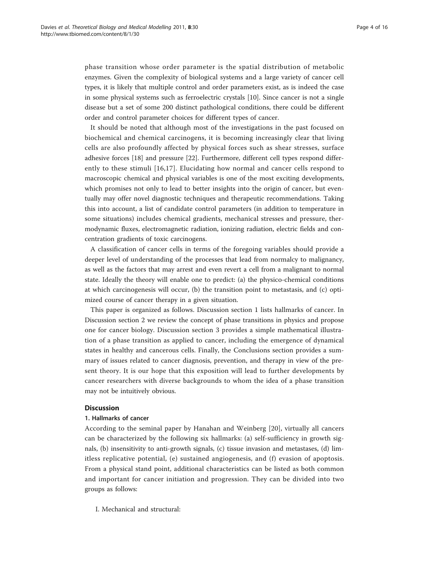phase transition whose order parameter is the spatial distribution of metabolic enzymes. Given the complexity of biological systems and a large variety of cancer cell types, it is likely that multiple control and order parameters exist, as is indeed the case in some physical systems such as ferroelectric crystals [10]. Since cancer is not a single disease but a set of some 200 distinct pathological conditions, there could be different order and control parameter choices for different types of cancer.

It should be noted that although most of the investigations in the past focused on biochemical and chemical carcinogens, it is becoming increasingly clear that living cells are also profoundly affected by physical forces such as shear stresses, surface adhesive forces [18] and pressure [22]. Furthermore, different cell types respond differently to these stimuli [16,17]. Elucidating how normal and cancer cells respond to macroscopic chemical and physical variables is one of the most exciting developments, which promises not only to lead to better insights into the origin of cancer, but eventually may offer novel diagnostic techniques and therapeutic recommendations. Taking this into account, a list of candidate control parameters (in addition to temperature in some situations) includes chemical gradients, mechanical stresses and pressure, thermodynamic fluxes, electromagnetic radiation, ionizing radiation, electric fields and concentration gradients of toxic carcinogens.

A classification of cancer cells in terms of the foregoing variables should provide a deeper level of understanding of the processes that lead from normalcy to malignancy, as well as the factors that may arrest and even revert a cell from a malignant to normal state. Ideally the theory will enable one to predict: (a) the physico-chemical conditions at which carcinogenesis will occur, (b) the transition point to metastasis, and (c) optimized course of cancer therapy in a given situation.

This paper is organized as follows. Discussion section 1 lists hallmarks of cancer. In Discussion section 2 we review the concept of phase transitions in physics and propose one for cancer biology. Discussion section 3 provides a simple mathematical illustration of a phase transition as applied to cancer, including the emergence of dynamical states in healthy and cancerous cells. Finally, the Conclusions section provides a summary of issues related to cancer diagnosis, prevention, and therapy in view of the present theory. It is our hope that this exposition will lead to further developments by cancer researchers with diverse backgrounds to whom the idea of a phase transition may not be intuitively obvious.

## **Discussion**

### 1. Hallmarks of cancer

According to the seminal paper by Hanahan and Weinberg [20], virtually all cancers can be characterized by the following six hallmarks: (a) self-sufficiency in growth signals, (b) insensitivity to anti-growth signals, (c) tissue invasion and metastases, (d) limitless replicative potential, (e) sustained angiogenesis, and (f) evasion of apoptosis. From a physical stand point, additional characteristics can be listed as both common and important for cancer initiation and progression. They can be divided into two groups as follows:

I. Mechanical and structural: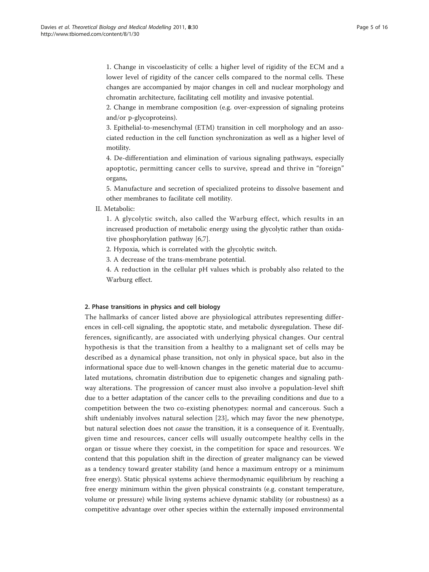1. Change in viscoelasticity of cells: a higher level of rigidity of the ECM and a lower level of rigidity of the cancer cells compared to the normal cells. These changes are accompanied by major changes in cell and nuclear morphology and chromatin architecture, facilitating cell motility and invasive potential.

2. Change in membrane composition (e.g. over-expression of signaling proteins and/or p-glycoproteins).

3. Epithelial-to-mesenchymal (ETM) transition in cell morphology and an associated reduction in the cell function synchronization as well as a higher level of motility.

4. De-differentiation and elimination of various signaling pathways, especially apoptotic, permitting cancer cells to survive, spread and thrive in "foreign" organs,

5. Manufacture and secretion of specialized proteins to dissolve basement and other membranes to facilitate cell motility.

II. Metabolic:

1. A glycolytic switch, also called the Warburg effect, which results in an increased production of metabolic energy using the glycolytic rather than oxidative phosphorylation pathway [6,7].

2. Hypoxia, which is correlated with the glycolytic switch.

3. A decrease of the trans-membrane potential.

4. A reduction in the cellular pH values which is probably also related to the Warburg effect.

## 2. Phase transitions in physics and cell biology

The hallmarks of cancer listed above are physiological attributes representing differences in cell-cell signaling, the apoptotic state, and metabolic dysregulation. These differences, significantly, are associated with underlying physical changes. Our central hypothesis is that the transition from a healthy to a malignant set of cells may be described as a dynamical phase transition, not only in physical space, but also in the informational space due to well-known changes in the genetic material due to accumulated mutations, chromatin distribution due to epigenetic changes and signaling pathway alterations. The progression of cancer must also involve a population-level shift due to a better adaptation of the cancer cells to the prevailing conditions and due to a competition between the two co-existing phenotypes: normal and cancerous. Such a shift undeniably involves natural selection [23], which may favor the new phenotype, but natural selection does not cause the transition, it is a consequence of it. Eventually, given time and resources, cancer cells will usually outcompete healthy cells in the organ or tissue where they coexist, in the competition for space and resources. We contend that this population shift in the direction of greater malignancy can be viewed as a tendency toward greater stability (and hence a maximum entropy or a minimum free energy). Static physical systems achieve thermodynamic equilibrium by reaching a free energy minimum within the given physical constraints (e.g. constant temperature, volume or pressure) while living systems achieve dynamic stability (or robustness) as a competitive advantage over other species within the externally imposed environmental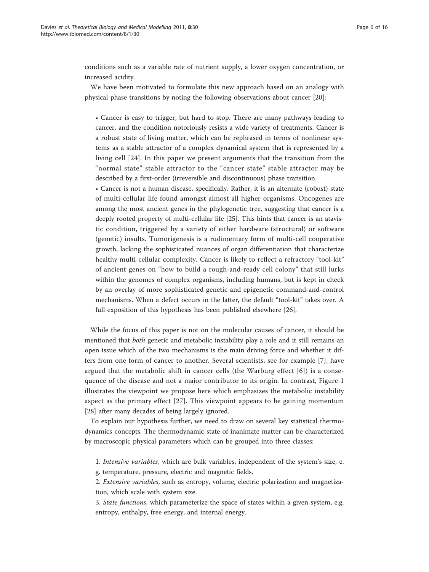conditions such as a variable rate of nutrient supply, a lower oxygen concentration, or increased acidity.

We have been motivated to formulate this new approach based on an analogy with physical phase transitions by noting the following observations about cancer [20]:

• Cancer is easy to trigger, but hard to stop. There are many pathways leading to cancer, and the condition notoriously resists a wide variety of treatments. Cancer is a robust state of living matter, which can be rephrased in terms of nonlinear systems as a stable attractor of a complex dynamical system that is represented by a living cell [24]. In this paper we present arguments that the transition from the "normal state" stable attractor to the "cancer state" stable attractor may be described by a first-order (irreversible and discontinuous) phase transition.

• Cancer is not a human disease, specifically. Rather, it is an alternate (robust) state of multi-cellular life found amongst almost all higher organisms. Oncogenes are among the most ancient genes in the phylogenetic tree, suggesting that cancer is a deeply rooted property of multi-cellular life [25]. This hints that cancer is an atavistic condition, triggered by a variety of either hardware (structural) or software (genetic) insults. Tumorigenesis is a rudimentary form of multi-cell cooperative growth, lacking the sophisticated nuances of organ differentiation that characterize healthy multi-cellular complexity. Cancer is likely to reflect a refractory "tool-kit" of ancient genes on "how to build a rough-and-ready cell colony" that still lurks within the genomes of complex organisms, including humans, but is kept in check by an overlay of more sophisticated genetic and epigenetic command-and-control mechanisms. When a defect occurs in the latter, the default "tool-kit" takes over. A full exposition of this hypothesis has been published elsewhere [26].

While the focus of this paper is not on the molecular causes of cancer, it should be mentioned that both genetic and metabolic instability play a role and it still remains an open issue which of the two mechanisms is the main driving force and whether it differs from one form of cancer to another. Several scientists, see for example [7], have argued that the metabolic shift in cancer cells (the Warburg effect [6]) is a consequence of the disease and not a major contributor to its origin. In contrast, Figure 1 illustrates the viewpoint we propose here which emphasizes the metabolic instability aspect as the primary effect [27]. This viewpoint appears to be gaining momentum [28] after many decades of being largely ignored.

To explain our hypothesis further, we need to draw on several key statistical thermodynamics concepts. The thermodynamic state of inanimate matter can be characterized by macroscopic physical parameters which can be grouped into three classes:

1. Intensive variables, which are bulk variables, independent of the system's size, e.

g. temperature, pressure, electric and magnetic fields.

2. Extensive variables, such as entropy, volume, electric polarization and magnetization, which scale with system size.

3. State functions, which parameterize the space of states within a given system, e.g. entropy, enthalpy, free energy, and internal energy.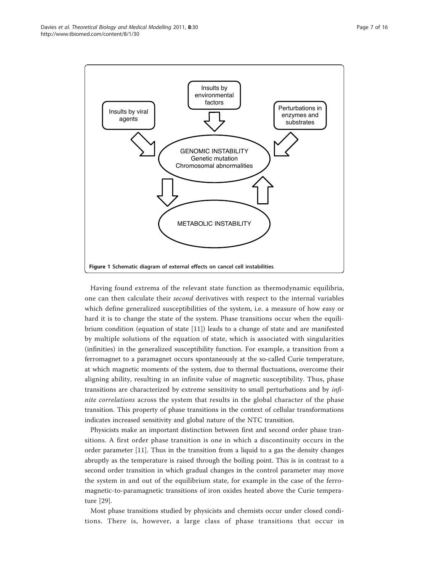

Having found extrema of the relevant state function as thermodynamic equilibria, one can then calculate their second derivatives with respect to the internal variables which define generalized susceptibilities of the system, i.e. a measure of how easy or hard it is to change the state of the system. Phase transitions occur when the equilibrium condition (equation of state [11]) leads to a change of state and are manifested by multiple solutions of the equation of state, which is associated with singularities (infinities) in the generalized susceptibility function. For example, a transition from a ferromagnet to a paramagnet occurs spontaneously at the so-called Curie temperature, at which magnetic moments of the system, due to thermal fluctuations, overcome their aligning ability, resulting in an infinite value of magnetic susceptibility. Thus, phase transitions are characterized by extreme sensitivity to small perturbations and by infinite correlations across the system that results in the global character of the phase transition. This property of phase transitions in the context of cellular transformations indicates increased sensitivity and global nature of the NTC transition.

Physicists make an important distinction between first and second order phase transitions. A first order phase transition is one in which a discontinuity occurs in the order parameter [11]. Thus in the transition from a liquid to a gas the density changes abruptly as the temperature is raised through the boiling point. This is in contrast to a second order transition in which gradual changes in the control parameter may move the system in and out of the equilibrium state, for example in the case of the ferromagnetic-to-paramagnetic transitions of iron oxides heated above the Curie temperature [29].

Most phase transitions studied by physicists and chemists occur under closed conditions. There is, however, a large class of phase transitions that occur in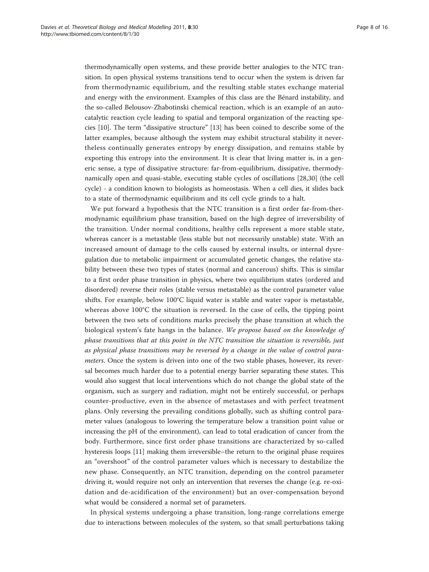thermodynamically open systems, and these provide better analogies to the NTC transition. In open physical systems transitions tend to occur when the system is driven far from thermodynamic equilibrium, and the resulting stable states exchange material and energy with the environment. Examples of this class are the Bénard instability, and the so-called Belousov-Zhabotinski chemical reaction, which is an example of an autocatalytic reaction cycle leading to spatial and temporal organization of the reacting species [10]. The term "dissipative structure" [13] has been coined to describe some of the latter examples, because although the system may exhibit structural stability it nevertheless continually generates entropy by energy dissipation, and remains stable by exporting this entropy into the environment. It is clear that living matter is, in a generic sense, a type of dissipative structure: far-from-equilibrium, dissipative, thermodynamically open and quasi-stable, executing stable cycles of oscillations [28,30] (the cell cycle) - a condition known to biologists as homeostasis. When a cell dies, it slides back to a state of thermodynamic equilibrium and its cell cycle grinds to a halt.

We put forward a hypothesis that the NTC transition is a first order far-from-thermodynamic equilibrium phase transition, based on the high degree of irreversibility of the transition. Under normal conditions, healthy cells represent a more stable state, whereas cancer is a metastable (less stable but not necessarily unstable) state. With an increased amount of damage to the cells caused by external insults, or internal dysregulation due to metabolic impairment or accumulated genetic changes, the relative stability between these two types of states (normal and cancerous) shifts. This is similar to a first order phase transition in physics, where two equilibrium states (ordered and disordered) reverse their roles (stable versus metastable) as the control parameter value shifts. For example, below 100°C liquid water is stable and water vapor is metastable, whereas above 100°C the situation is reversed. In the case of cells, the tipping point between the two sets of conditions marks precisely the phase transition at which the biological system's fate hangs in the balance. We propose based on the knowledge of phase transitions that at this point in the NTC transition the situation is reversible, just as physical phase transitions may be reversed by a change in the value of control parameters. Once the system is driven into one of the two stable phases, however, its reversal becomes much harder due to a potential energy barrier separating these states. This would also suggest that local interventions which do not change the global state of the organism, such as surgery and radiation, might not be entirely successful, or perhaps counter-productive, even in the absence of metastases and with perfect treatment plans. Only reversing the prevailing conditions globally, such as shifting control parameter values (analogous to lowering the temperature below a transition point value or increasing the pH of the environment), can lead to total eradication of cancer from the body. Furthermore, since first order phase transitions are characterized by so-called hysteresis loops [11] making them irreversible–the return to the original phase requires an "overshoot" of the control parameter values which is necessary to destabilize the new phase. Consequently, an NTC transition, depending on the control parameter driving it, would require not only an intervention that reverses the change (e.g. re-oxidation and de-acidification of the environment) but an over-compensation beyond what would be considered a normal set of parameters.

In physical systems undergoing a phase transition, long-range correlations emerge due to interactions between molecules of the system, so that small perturbations taking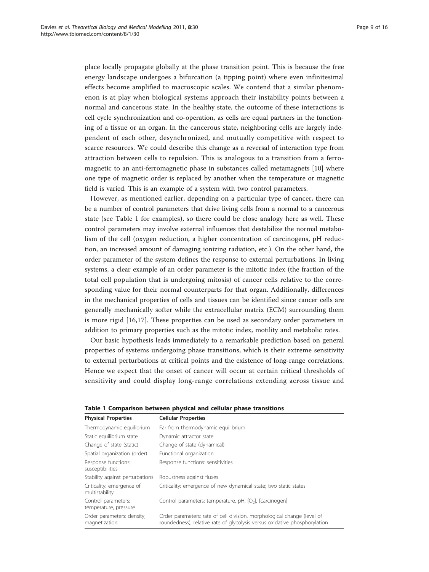place locally propagate globally at the phase transition point. This is because the free energy landscape undergoes a bifurcation (a tipping point) where even infinitesimal effects become amplified to macroscopic scales. We contend that a similar phenomenon is at play when biological systems approach their instability points between a normal and cancerous state. In the healthy state, the outcome of these interactions is cell cycle synchronization and co-operation, as cells are equal partners in the functioning of a tissue or an organ. In the cancerous state, neighboring cells are largely independent of each other, desynchronized, and mutually competitive with respect to scarce resources. We could describe this change as a reversal of interaction type from attraction between cells to repulsion. This is analogous to a transition from a ferromagnetic to an anti-ferromagnetic phase in substances called metamagnets [10] where one type of magnetic order is replaced by another when the temperature or magnetic field is varied. This is an example of a system with two control parameters.

However, as mentioned earlier, depending on a particular type of cancer, there can be a number of control parameters that drive living cells from a normal to a cancerous state (see Table 1 for examples), so there could be close analogy here as well. These control parameters may involve external influences that destabilize the normal metabolism of the cell (oxygen reduction, a higher concentration of carcinogens, pH reduction, an increased amount of damaging ionizing radiation, etc.). On the other hand, the order parameter of the system defines the response to external perturbations. In living systems, a clear example of an order parameter is the mitotic index (the fraction of the total cell population that is undergoing mitosis) of cancer cells relative to the corresponding value for their normal counterparts for that organ. Additionally, differences in the mechanical properties of cells and tissues can be identified since cancer cells are generally mechanically softer while the extracellular matrix (ECM) surrounding them is more rigid [16,17]. These properties can be used as secondary order parameters in addition to primary properties such as the mitotic index, motility and metabolic rates.

Our basic hypothesis leads immediately to a remarkable prediction based on general properties of systems undergoing phase transitions, which is their extreme sensitivity to external perturbations at critical points and the existence of long-range correlations. Hence we expect that the onset of cancer will occur at certain critical thresholds of sensitivity and could display long-range correlations extending across tissue and

| <b>Physical Properties</b>                   | <b>Cellular Properties</b>                                                                                                                            |
|----------------------------------------------|-------------------------------------------------------------------------------------------------------------------------------------------------------|
| Thermodynamic equilibrium                    | Far from thermodynamic equilibrium                                                                                                                    |
| Static equilibrium state                     | Dynamic attractor state                                                                                                                               |
| Change of state (static)                     | Change of state (dynamical)                                                                                                                           |
| Spatial organization (order)                 | Functional organization                                                                                                                               |
| Response functions:<br>susceptibilities      | Response functions: sensitivities                                                                                                                     |
| Stability against perturbations              | Robustness against fluxes                                                                                                                             |
| Criticality: emergence of<br>multistability  | Criticality: emergence of new dynamical state; two static states                                                                                      |
| Control parameters:<br>temperature, pressure | Control parameters: temperature, pH, [O <sub>2</sub> ], [carcinogen]                                                                                  |
| Order parameters: density,<br>magnetization  | Order parameters: rate of cell division, morphological change (level of<br>roundedness), relative rate of glycolysis versus oxidative phosphorylation |

| Table 1 Comparison between physical and cellular phase transitions |  |  |  |  |
|--------------------------------------------------------------------|--|--|--|--|
|--------------------------------------------------------------------|--|--|--|--|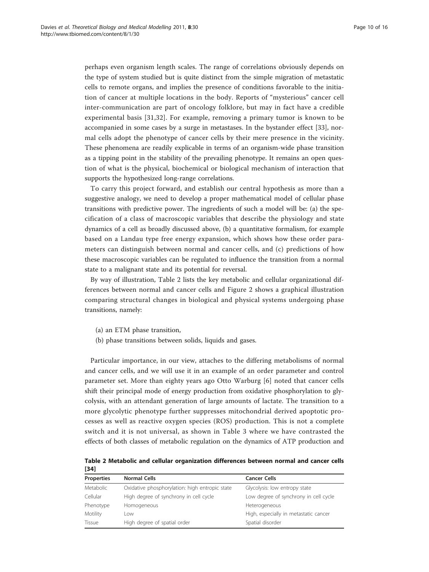perhaps even organism length scales. The range of correlations obviously depends on the type of system studied but is quite distinct from the simple migration of metastatic cells to remote organs, and implies the presence of conditions favorable to the initiation of cancer at multiple locations in the body. Reports of "mysterious" cancer cell inter-communication are part of oncology folklore, but may in fact have a credible experimental basis [31,32]. For example, removing a primary tumor is known to be accompanied in some cases by a surge in metastases. In the bystander effect [33], normal cells adopt the phenotype of cancer cells by their mere presence in the vicinity. These phenomena are readily explicable in terms of an organism-wide phase transition as a tipping point in the stability of the prevailing phenotype. It remains an open question of what is the physical, biochemical or biological mechanism of interaction that supports the hypothesized long-range correlations.

To carry this project forward, and establish our central hypothesis as more than a suggestive analogy, we need to develop a proper mathematical model of cellular phase transitions with predictive power. The ingredients of such a model will be: (a) the specification of a class of macroscopic variables that describe the physiology and state dynamics of a cell as broadly discussed above, (b) a quantitative formalism, for example based on a Landau type free energy expansion, which shows how these order parameters can distinguish between normal and cancer cells, and (c) predictions of how these macroscopic variables can be regulated to influence the transition from a normal state to a malignant state and its potential for reversal.

By way of illustration, Table 2 lists the key metabolic and cellular organizational differences between normal and cancer cells and Figure 2 shows a graphical illustration comparing structural changes in biological and physical systems undergoing phase transitions, namely:

- (a) an ETM phase transition,
- (b) phase transitions between solids, liquids and gases.

Particular importance, in our view, attaches to the differing metabolisms of normal and cancer cells, and we will use it in an example of an order parameter and control parameter set. More than eighty years ago Otto Warburg [6] noted that cancer cells shift their principal mode of energy production from oxidative phosphorylation to glycolysis, with an attendant generation of large amounts of lactate. The transition to a more glycolytic phenotype further suppresses mitochondrial derived apoptotic processes as well as reactive oxygen species (ROS) production. This is not a complete switch and it is not universal, as shown in Table 3 where we have contrasted the effects of both classes of metabolic regulation on the dynamics of ATP production and

Table 2 Metabolic and cellular organization differences between normal and cancer cells [34]

| <b>Properties</b> | Normal Cells                                   | <b>Cancer Cells</b>                   |
|-------------------|------------------------------------------------|---------------------------------------|
| Metabolic         | Oxidative phosphorylation: high entropic state | Glycolysis: low entropy state         |
| Cellular          | High degree of synchrony in cell cycle         | Low degree of synchrony in cell cycle |
| Phenotype         | Homogeneous                                    | Heterogeneous                         |
| Motility          | l ow                                           | High, especially in metastatic cancer |
| Tissue            | High degree of spatial order                   | Spatial disorder                      |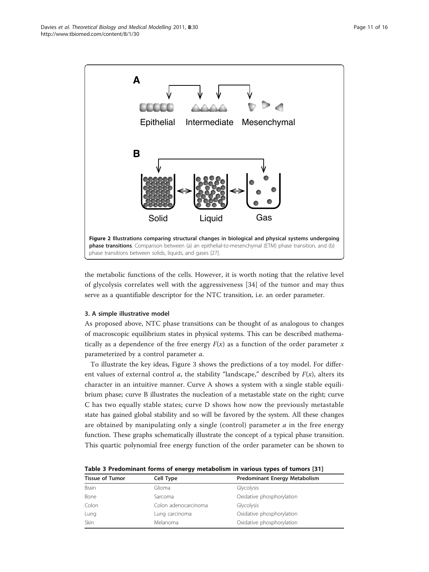

the metabolic functions of the cells. However, it is worth noting that the relative level of glycolysis correlates well with the aggressiveness [34] of the tumor and may thus serve as a quantifiable descriptor for the NTC transition, i.e. an order parameter.

## 3. A simple illustrative model

As proposed above, NTC phase transitions can be thought of as analogous to changes of macroscopic equilibrium states in physical systems. This can be described mathematically as a dependence of the free energy  $F(x)$  as a function of the order parameter x parameterized by a control parameter a.

To illustrate the key ideas, Figure 3 shows the predictions of a toy model. For different values of external control a, the stability "landscape," described by  $F(x)$ , alters its character in an intuitive manner. Curve A shows a system with a single stable equilibrium phase; curve B illustrates the nucleation of a metastable state on the right; curve C has two equally stable states; curve D shows how now the previously metastable state has gained global stability and so will be favored by the system. All these changes are obtained by manipulating only a single (control) parameter  $a$  in the free energy function. These graphs schematically illustrate the concept of a typical phase transition. This quartic polynomial free energy function of the order parameter can be shown to

Table 3 Predominant forms of energy metabolism in various types of tumors [31]

| <b>Tissue of Tumor</b> | Cell Type            | <b>Predominant Energy Metabolism</b> |
|------------------------|----------------------|--------------------------------------|
| <b>Brain</b>           | Glioma               | Glycolysis                           |
| Bone                   | Sarcoma              | Oxidative phosphorylation            |
| Colon                  | Colon adenocarcinoma | Glycolysis                           |
| Lung                   | Lung carcinoma       | Oxidative phosphorylation            |
| Skin                   | Melanoma             | Oxidative phosphorylation            |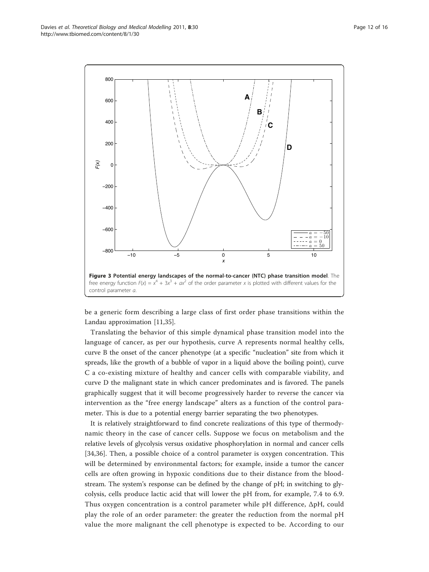

be a generic form describing a large class of first order phase transitions within the Landau approximation [11,35].

Translating the behavior of this simple dynamical phase transition model into the language of cancer, as per our hypothesis, curve A represents normal healthy cells, curve B the onset of the cancer phenotype (at a specific "nucleation" site from which it spreads, like the growth of a bubble of vapor in a liquid above the boiling point), curve C a co-existing mixture of healthy and cancer cells with comparable viability, and curve D the malignant state in which cancer predominates and is favored. The panels graphically suggest that it will become progressively harder to reverse the cancer via intervention as the "free energy landscape" alters as a function of the control parameter. This is due to a potential energy barrier separating the two phenotypes.

It is relatively straightforward to find concrete realizations of this type of thermodynamic theory in the case of cancer cells. Suppose we focus on metabolism and the relative levels of glycolysis versus oxidative phosphorylation in normal and cancer cells [34,36]. Then, a possible choice of a control parameter is oxygen concentration. This will be determined by environmental factors; for example, inside a tumor the cancer cells are often growing in hypoxic conditions due to their distance from the bloodstream. The system's response can be defined by the change of pH; in switching to glycolysis, cells produce lactic acid that will lower the pH from, for example, 7.4 to 6.9. Thus oxygen concentration is a control parameter while pH difference, ΔpH, could play the role of an order parameter: the greater the reduction from the normal pH value the more malignant the cell phenotype is expected to be. According to our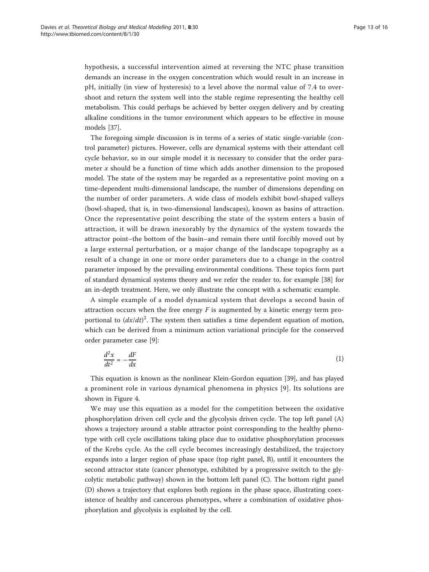hypothesis, a successful intervention aimed at reversing the NTC phase transition demands an increase in the oxygen concentration which would result in an increase in pH, initially (in view of hysteresis) to a level above the normal value of 7.4 to overshoot and return the system well into the stable regime representing the healthy cell metabolism. This could perhaps be achieved by better oxygen delivery and by creating alkaline conditions in the tumor environment which appears to be effective in mouse models [37].

The foregoing simple discussion is in terms of a series of static single-variable (control parameter) pictures. However, cells are dynamical systems with their attendant cell cycle behavior, so in our simple model it is necessary to consider that the order parameter x should be a function of time which adds another dimension to the proposed model. The state of the system may be regarded as a representative point moving on a time-dependent multi-dimensional landscape, the number of dimensions depending on the number of order parameters. A wide class of models exhibit bowl-shaped valleys (bowl-shaped, that is, in two-dimensional landscapes), known as basins of attraction. Once the representative point describing the state of the system enters a basin of attraction, it will be drawn inexorably by the dynamics of the system towards the attractor point–the bottom of the basin–and remain there until forcibly moved out by a large external perturbation, or a major change of the landscape topography as a result of a change in one or more order parameters due to a change in the control parameter imposed by the prevailing environmental conditions. These topics form part of standard dynamical systems theory and we refer the reader to, for example [38] for an in-depth treatment. Here, we only illustrate the concept with a schematic example.

A simple example of a model dynamical system that develops a second basin of attraction occurs when the free energy  $F$  is augmented by a kinetic energy term proportional to  $\left(dx/dt\right)^{2}$ . The system then satisfies a time dependent equation of motion, which can be derived from a minimum action variational principle for the conserved order parameter case [9]:

$$
\frac{d^2x}{dt^2} = -\frac{dF}{dx} \tag{1}
$$

This equation is known as the nonlinear Klein-Gordon equation [39], and has played a prominent role in various dynamical phenomena in physics [9]. Its solutions are shown in Figure 4.

We may use this equation as a model for the competition between the oxidative phosphorylation driven cell cycle and the glycolysis driven cycle. The top left panel (A) shows a trajectory around a stable attractor point corresponding to the healthy phenotype with cell cycle oscillations taking place due to oxidative phosphorylation processes of the Krebs cycle. As the cell cycle becomes increasingly destabilized, the trajectory expands into a larger region of phase space (top right panel, B), until it encounters the second attractor state (cancer phenotype, exhibited by a progressive switch to the glycolytic metabolic pathway) shown in the bottom left panel (C). The bottom right panel (D) shows a trajectory that explores both regions in the phase space, illustrating coexistence of healthy and cancerous phenotypes, where a combination of oxidative phosphorylation and glycolysis is exploited by the cell.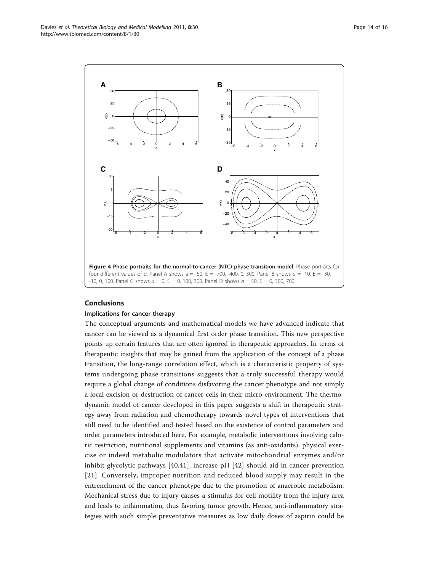Davies et al. Theoretical Biology and Medical Modelling 2011, 8:30 http://www.tbiomed.com/content/8/1/30



# Conclusions

## Implications for cancer therapy

The conceptual arguments and mathematical models we have advanced indicate that cancer can be viewed as a dynamical first order phase transition. This new perspective points up certain features that are often ignored in therapeutic approaches. In terms of therapeutic insights that may be gained from the application of the concept of a phase transition, the long-range correlation effect, which is a characteristic property of systems undergoing phase transitions suggests that a truly successful therapy would require a global change of conditions disfavoring the cancer phenotype and not simply a local excision or destruction of cancer cells in their micro-environment. The thermodynamic model of cancer developed in this paper suggests a shift in therapeutic strategy away from radiation and chemotherapy towards novel types of interventions that still need to be identified and tested based on the existence of control parameters and order parameters introduced here. For example, metabolic interventions involving caloric restriction, nutritional supplements and vitamins (as anti-oxidants), physical exercise or indeed metabolic modulators that activate mitochondrial enzymes and/or inhibit glycolytic pathways [40,41], increase pH [42] should aid in cancer prevention [21]. Conversely, improper nutrition and reduced blood supply may result in the entrenchment of the cancer phenotype due to the promotion of anaerobic metabolism. Mechanical stress due to injury causes a stimulus for cell motility from the injury area and leads to inflammation, thus favoring tumor growth. Hence, anti-inflammatory strategies with such simple preventative measures as low daily doses of aspirin could be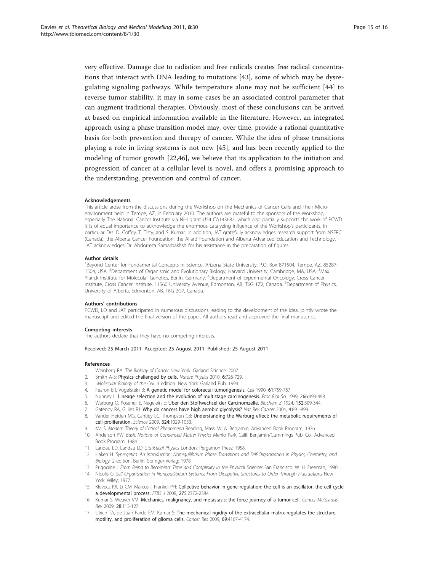very effective. Damage due to radiation and free radicals creates free radical concentrations that interact with DNA leading to mutations [43], some of which may be dysregulating signaling pathways. While temperature alone may not be sufficient [44] to reverse tumor stability, it may in some cases be an associated control parameter that can augment traditional therapies. Obviously, most of these conclusions can be arrived at based on empirical information available in the literature. However, an integrated approach using a phase transition model may, over time, provide a rational quantitative basis for both prevention and therapy of cancer. While the idea of phase transitions playing a role in living systems is not new [45], and has been recently applied to the modeling of tumor growth [22,46], we believe that its application to the initiation and progression of cancer at a cellular level is novel, and offers a promising approach to the understanding, prevention and control of cancer.

#### Acknowledgements

This article arose from the discussions during the Workshop on the Mechanics of Cancer Cells and Their Microenvironment held in Tempe, AZ, in February 2010. The authors are grateful to the sponsors of the Workshop, especially The National Cancer Institute via NIH grant U54 CA143682, which also partially supports the work of PCWD. It is of equal importance to acknowledge the enormous catalyzing influence of the Workshop's participants, in particular Drs. D. Coffey, T. Tlsty, and S. Kumar. In addition, JAT gratefully acknowledges research support from NSERC (Canada), the Alberta Cancer Foundation, the Allard Foundation and Alberta Advanced Education and Technology. JAT acknowledges Dr. Abdorreza Samarbakhsh for his assistance in the preparation of figures.

#### Author details

<sup>1</sup>Beyond Center for Fundamental Concepts in Science, Arizona State University, P.O. Box 871504, Tempe, AZ, 85287-1504, USA. <sup>2</sup>Department of Organismic and Evolutionary Biology, Harvard University, Cambridge, MA, USA. <sup>3</sup>Max Planck Institute for Molecular Genetics, Berlin, Germany. <sup>4</sup>Department of Experimental Oncology, Cross Cancer Institute, Cross Cancer Institute, 11560 University Avenue, Edmonton, AB, T6G 1Z2, Canada. <sup>5</sup>Department of Physics, University of Alberta, Edmonton, AB, T6G 2G7, Canada.

#### Authors' contributions

PCWD, LD and JAT participated in numerous discussions leading to the development of the idea, jointly wrote the manuscript and edited the final version of the paper. All authors read and approved the final manuscript.

#### Competing interests

The authors declare that they have no competing interests.

#### Received: 25 March 2011 Accepted: 25 August 2011 Published: 25 August 2011

#### References

- 1. Weinberg RA: The Biology of Cancer New York: Garland Science; 2007.
- 2. Smith A-S: Physics challenged by cells. Nature Physics 2010, 6:726-729.
- Molecular Biology of the Cell. 3 edition. New York: Garland Pub; 1994.
- 4. Fearon ER, Vogelstein B: A genetic model for colorectal tumorigenesis. Cell 1990, 61:759-767.
- Nunney L: Lineage selection and the evolution of multistage carcinogenesis. Proc Biol Sci 1999, 266:493-498.
- 6. Warburg O, Posener E, Negelein E: Uber den Stoffwechsel der Carcinomzelle. Biochem Z 1924, 152:309-344.
- 7. Gatenby RA, Gillies RJ: Why do cancers have high aerobic glycolysis? Nat Rev Cancer 2004, 4:891-899.
- 8. Vander Heiden MG, Cantley LC, Thompson CB: Understanding the Warburg effect: the metabolic requirements of cell proliferation. Science 2009, 324:1029-1033.
- 9. Ma S: Modern Theory of Critical Phenomena Reading, Mass: W. A. Benjamin, Advanced Book Program; 1976.
- 10. Anderson PW: Basic Notions of Condensed Matter Physics Menlo Park, Calif: Benjamin/Cummings Pub. Co., Advanced Book Program; 1984.
- 11. Landau LD, Landau LD: Statistical Physics London: Pergamon Press; 1958.
- 12. Haken H: Synergetics: An Introduction: Nonequilibrium Phase Transitions and Self-Organization in Physics, Chemistry, and Biology. 2 edition. Berlin: Springer-Verlag; 1978.
- 13. Prigogine I: From Being to Becoming: Time and Complexity in the Physical Sciences San Francisco: W. H. Freeman; 1980.
- 14. Nicolis G: Self-Organization in Nonequilibrium Systems: From Dissipative Structures to Order Through Fluctuations New York: Wiley; 1977.
- 15. Klevecz RR, Li CM, Marcus I, Frankel PH: Collective behavior in gene regulation: the cell is an oscillator, the cell cycle a developmental process. FEBS J 2008, 275:2372-2384.
- 16. Kumar S, Weaver VM: Mechanics, malignancy, and metastasis: the force journey of a tumor cell. Cancer Metastasis Rev 2009, 28:113-127.
- 17. Ulrich TA, de Juan Pardo EM, Kumar S: The mechanical rigidity of the extracellular matrix regulates the structure, motility, and proliferation of glioma cells. Cancer Res 2009, 69:4167-4174.